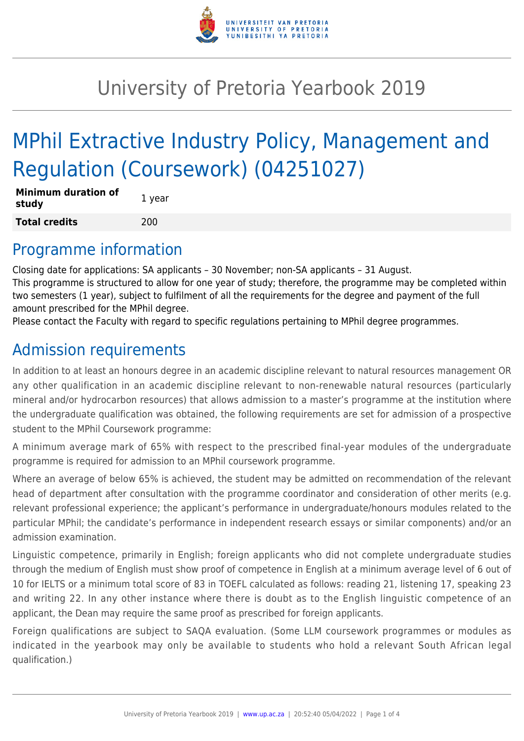

## University of Pretoria Yearbook 2019

# MPhil Extractive Industry Policy, Management and Regulation (Coursework) (04251027)

| <b>Minimum duration of</b><br>study | 1 year |
|-------------------------------------|--------|
| <b>Total credits</b>                | 200    |

#### Programme information

Closing date for applications: SA applicants – 30 November; non-SA applicants – 31 August. This programme is structured to allow for one year of study; therefore, the programme may be completed within two semesters (1 year), subject to fulfilment of all the requirements for the degree and payment of the full amount prescribed for the MPhil degree.

Please contact the Faculty with regard to specific regulations pertaining to MPhil degree programmes.

## Admission requirements

In addition to at least an honours degree in an academic discipline relevant to natural resources management OR any other qualification in an academic discipline relevant to non-renewable natural resources (particularly mineral and/or hydrocarbon resources) that allows admission to a master's programme at the institution where the undergraduate qualification was obtained, the following requirements are set for admission of a prospective student to the MPhil Coursework programme:

A minimum average mark of 65% with respect to the prescribed final-year modules of the undergraduate programme is required for admission to an MPhil coursework programme.

Where an average of below 65% is achieved, the student may be admitted on recommendation of the relevant head of department after consultation with the programme coordinator and consideration of other merits (e.g. relevant professional experience; the applicant's performance in undergraduate/honours modules related to the particular MPhil; the candidate's performance in independent research essays or similar components) and/or an admission examination.

Linguistic competence, primarily in English; foreign applicants who did not complete undergraduate studies through the medium of English must show proof of competence in English at a minimum average level of 6 out of 10 for IELTS or a minimum total score of 83 in TOEFL calculated as follows: reading 21, listening 17, speaking 23 and writing 22. In any other instance where there is doubt as to the English linguistic competence of an applicant, the Dean may require the same proof as prescribed for foreign applicants.

Foreign qualifications are subject to SAQA evaluation. (Some LLM coursework programmes or modules as indicated in the yearbook may only be available to students who hold a relevant South African legal qualification.)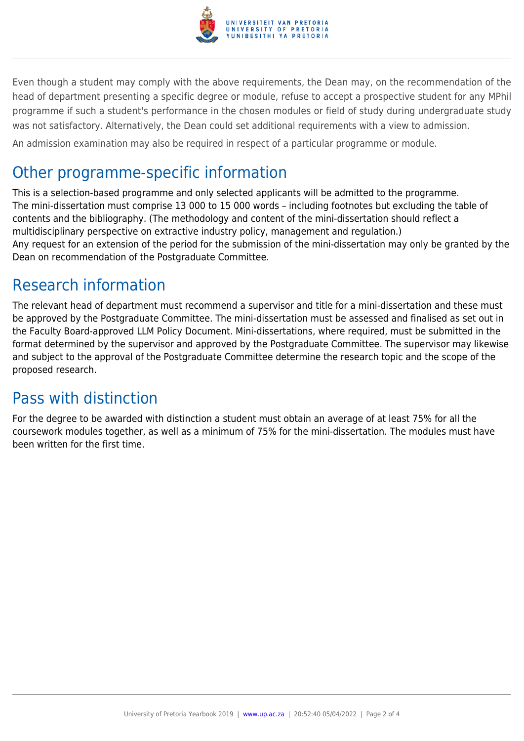

Even though a student may comply with the above requirements, the Dean may, on the recommendation of the head of department presenting a specific degree or module, refuse to accept a prospective student for any MPhil programme if such a student's performance in the chosen modules or field of study during undergraduate study was not satisfactory. Alternatively, the Dean could set additional requirements with a view to admission.

An admission examination may also be required in respect of a particular programme or module.

### Other programme-specific information

This is a selection-based programme and only selected applicants will be admitted to the programme. The mini-dissertation must comprise 13 000 to 15 000 words – including footnotes but excluding the table of contents and the bibliography. (The methodology and content of the mini-dissertation should reflect a multidisciplinary perspective on extractive industry policy, management and regulation.) Any request for an extension of the period for the submission of the mini-dissertation may only be granted by the Dean on recommendation of the Postgraduate Committee.

## Research information

The relevant head of department must recommend a supervisor and title for a mini-dissertation and these must be approved by the Postgraduate Committee. The mini-dissertation must be assessed and finalised as set out in the Faculty Board-approved LLM Policy Document. Mini-dissertations, where required, must be submitted in the format determined by the supervisor and approved by the Postgraduate Committee. The supervisor may likewise and subject to the approval of the Postgraduate Committee determine the research topic and the scope of the proposed research.

### Pass with distinction

For the degree to be awarded with distinction a student must obtain an average of at least 75% for all the coursework modules together, as well as a minimum of 75% for the mini-dissertation. The modules must have been written for the first time.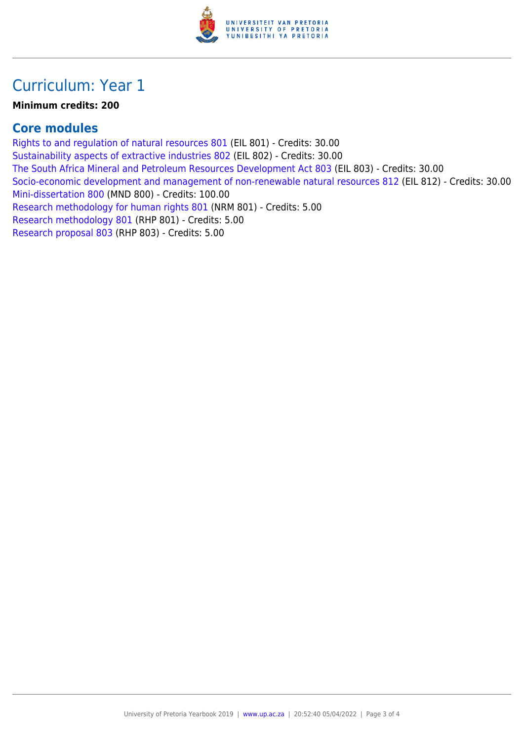

#### Curriculum: Year 1

#### **Minimum credits: 200**

#### **Core modules**

[Rights to and regulation of natural resources 801](https://www.up.ac.za/yearbooks/2019/modules/view/EIL 801) (EIL 801) - Credits: 30.00 [Sustainability aspects of extractive industries 802](https://www.up.ac.za/yearbooks/2019/modules/view/EIL 802) (EIL 802) - Credits: 30.00 [The South Africa Mineral and Petroleum Resources Development Act 803](https://www.up.ac.za/yearbooks/2019/modules/view/EIL 803) (EIL 803) - Credits: 30.00 [Socio-economic development and management of non-renewable natural resources 812](https://www.up.ac.za/yearbooks/2019/modules/view/EIL 812) (EIL 812) - Credits: 30.00 [Mini-dissertation 800](https://www.up.ac.za/yearbooks/2019/modules/view/MND 800) (MND 800) - Credits: 100.00 [Research methodology for human rights 801](https://www.up.ac.za/yearbooks/2019/modules/view/NRM 801) (NRM 801) - Credits: 5.00 [Research methodology 801](https://www.up.ac.za/yearbooks/2019/modules/view/RHP 801) (RHP 801) - Credits: 5.00 [Research proposal 803](https://www.up.ac.za/yearbooks/2019/modules/view/RHP 803) (RHP 803) - Credits: 5.00